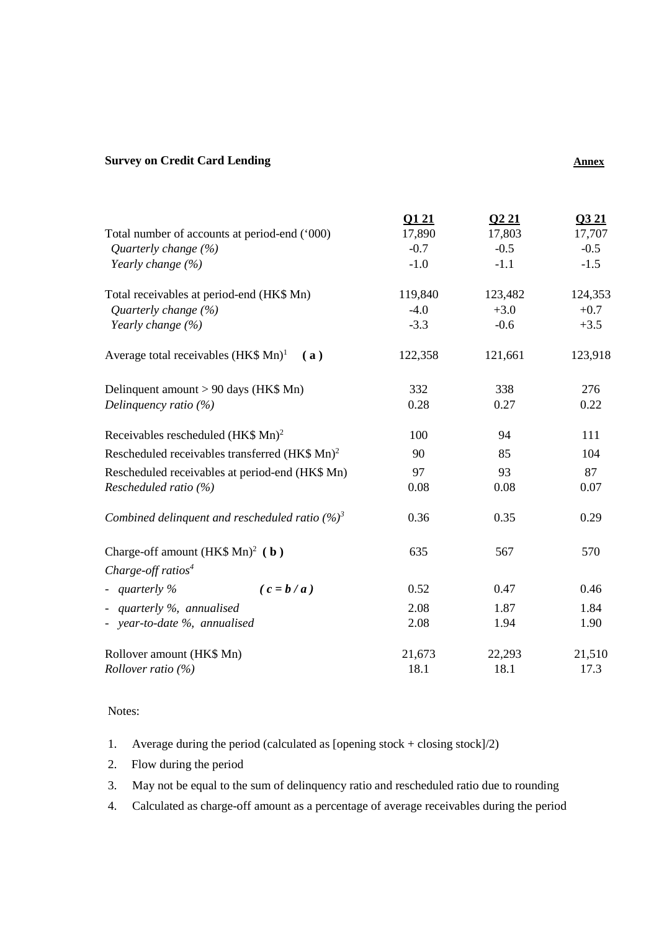## **Survey on Credit Card Lending Annex Annex Annex Annex**

|                                                            | Q121    | Q221    | Q3 21   |
|------------------------------------------------------------|---------|---------|---------|
| Total number of accounts at period-end ('000)              | 17,890  | 17,803  | 17,707  |
| Quarterly change (%)                                       | $-0.7$  | $-0.5$  | $-0.5$  |
| Yearly change (%)                                          | $-1.0$  | $-1.1$  | $-1.5$  |
| Total receivables at period-end (HK\$ Mn)                  | 119,840 | 123,482 | 124,353 |
| Quarterly change (%)                                       | $-4.0$  | $+3.0$  | $+0.7$  |
| Yearly change (%)                                          | $-3.3$  | $-0.6$  | $+3.5$  |
| Average total receivables $(HK$ Mn)^1$<br>(a)              | 122,358 | 121,661 | 123,918 |
| Delinquent amount > 90 days (HK\$ Mn)                      | 332     | 338     | 276     |
| Delinquency ratio (%)                                      | 0.28    | 0.27    | 0.22    |
| Receivables rescheduled (HK\$ Mn) <sup>2</sup>             | 100     | 94      | 111     |
| Rescheduled receivables transferred (HK\$ Mn) <sup>2</sup> | 90      | 85      | 104     |
| Rescheduled receivables at period-end (HK\$ Mn)            | 97      | 93      | 87      |
| Rescheduled ratio (%)                                      | 0.08    | 0.08    | 0.07    |
| Combined delinquent and rescheduled ratio $(%)^3$          | 0.36    | 0.35    | 0.29    |
| Charge-off amount $(HK$ Mn)2$ ( <b>b</b> )                 | 635     | 567     | 570     |
| Charge-off ratios <sup>4</sup>                             |         |         |         |
| - quarterly $\%$<br>$(c = b/a)$                            | 0.52    | 0.47    | 0.46    |
| - quarterly %, annualised                                  | 2.08    | 1.87    | 1.84    |
| - year-to-date %, annualised                               | 2.08    | 1.94    | 1.90    |
| Rollover amount (HK\$ Mn)                                  | 21,673  | 22,293  | 21,510  |
| <i>Rollover ratio</i> $(%)$                                | 18.1    | 18.1    | 17.3    |
|                                                            |         |         |         |

Notes:

1. Average during the period (calculated as [opening stock + closing stock] $/2$ )

2. Flow during the period

3. May not be equal to the sum of delinquency ratio and rescheduled ratio due to rounding

4. Calculated as charge-off amount as a percentage of average receivables during the period